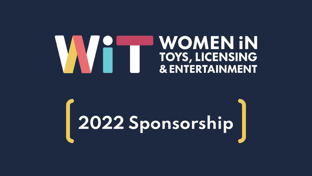### **WOMEN IN** TOYS, LICENSING **& ENTERTAINMENT**

# **2022 Sponsorship**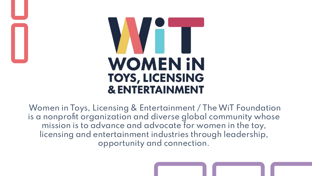# **TERMINAL WOMEN IN TOYS, LICENSING & ENTERTAINMENT**

Women in Toys, Licensing & Entertainment / The WiT Foundation is a nonprofit organization and diverse global community whose mission is to advance and advocate for women in the toy, licensing and entertainment industries through leadership, opportunity and connection.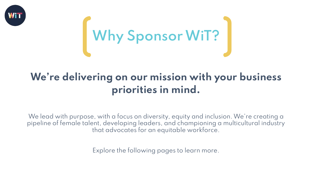



### **We're delivering on our mission with your business priorities in mind.**

We lead with purpose, with a focus on diversity, equity and inclusion. We're creating a pipeline of female talent, developing leaders, and championing a multicultural industry that advocates for an equitable workforce.

Explore the following pages to learn more.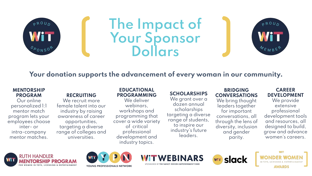

## **The Impact of Your Sponsor Dollars**



#### **Your donation supports the advancement of every woman in our community.**

#### **MENTORSHIP PROGRAM**

Our online personalized 1:1 mentor match program lets your employees choose inter- or intra-company mentor matches.

#### **RECRUITING**

We recruit more female talent into our industry by raising awareness of career opportunities, targeting a diverse range of colleges and universities.

#### **EDUCATIONAL PROGRAMMING**

We deliver webinars, workshops and programming that cover a wide variety of critical professional development and industry topics.

#### **SCHOLARSHIPS**

We grant over a dozen annual scholarships targeting a diverse range of students, to inspire our industry's future leaders.

#### **BRIDGING CONVERSATIONS**

We bring thought leaders together for important conversations, all through the lens of diversity, inclusion and gender parity.

#### **CAREER DEVELOPMENT**

We provide extensive professional development tools and resources, all designed to build, grow and advance women's careers.









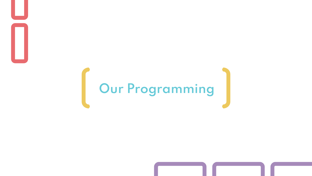# **Our Programming**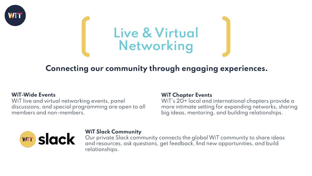

## **Live & Virtual Networking**

#### **Connecting our community through engaging experiences.**

#### **WiT-Wide Events**

WiT live and virtual networking events, panel discussions, and special programming are open to all members and non-members.

#### **WiT Chapter Events**

WiT's 20+ local and international chapters provide a more intimate setting for expanding networks, sharing big ideas, mentoring, and building relationships.



#### **WiT Slack Community**

Our private Slack community connects the global WiT community to share ideas and resources, ask questions, get feedback, find new opportunities, and build relationships.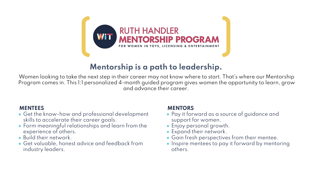

#### **Mentorship is a path to leadership.**

Women looking to take the next step in their career may not know where to start. That's where our Mentorship Program comes in. This 1:1 personalized 4-month guided program gives women the opportunity to learn, grow and advance their career.

#### **MENTEES**

- Get the know-how and professional development skills to accelerate their career goals.
- Form meaningful relationships and learn from the experience of others.
- Build their network.
- Get valuable, honest advice and feedback from industry leaders.

#### **MENTORS**

- Pay it forward as a source of guidance and support for women.
- Enjoy personal growth.
- Expand their network.
- Gain fresh perspectives from their mentee.
- Inspire mentees to pay it forward by mentoring others.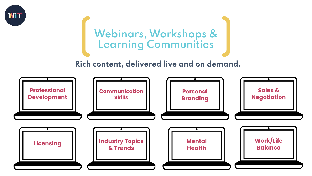

## **Webinars, Workshops & Learning Communities**

#### **Rich content, delivered live and on demand.**

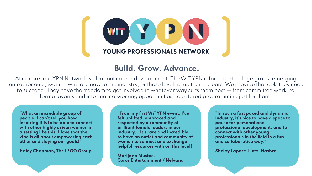

#### **Build. Grow. Advance.**

At its core, our YPN Network is all about career development. The WiT YPN is for recent college grads, emerging entrepreneurs, women who are new to the industry, or those leveling up their careers. We provide the tools they need to succeed. They have the freedom to get involved in whatever way suits them best — from committee work, to formal events and informal networking opportunities, to catered programming just for them.

**"What an incredible group of people! I can't tell you how inspiring it is to be able to connect with other highly driven women in a setting like this. I love that the vibe is all about empowering each other and slaying our goals!"**

**Haley Chapman, The LEGO Group**

**"From my first WiT YPN event, I've felt uplifted, embraced and respected by a community of brilliant female leaders in our industry. . It's rare and incredible to have an outlet and community of women to connect and exchange helpful resources with on this level!**

**Marijana Mustec, Corus Entertainment / Nelvana** **"In such a fast paced and dynamic industry, it's nice to have a space to pause for personal and professional development, and to connect with other young professionals in the field in a fun and collaborative way."**

**Shelby Lapoce-Lintz, Hasbro**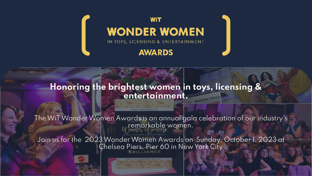

#### **Honoring the brightest women in toys, licensing & entertainment.**

The WiT Wonder Women Awards is an annual gala celebration of our industry's remarkable women.

Join us for the 2023 Wonder Women Awards on Sunday, October 1, 2023 at Chelsea Piers, Pier 60 in New York City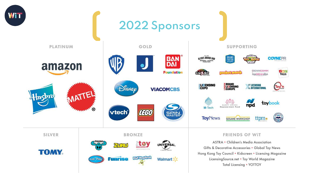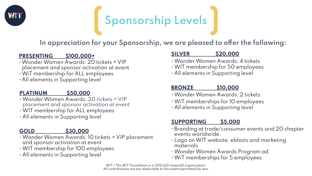

## **Sponsorship Levels**

#### **In appreciation for your Sponsorship, we are pleased to offer the following:**

#### **PRESENTING \$100,000+**

- Wonder Women Awards: 20 tickets + VIP placement and sponsor activation at event
- WiT membership for ALL employees
- All elements in Supporting level

#### **PLATINUM \$50,000**

- Wonder Women Awards: 20 tickets + VIP placement and sponsor activation at event
- WIT membership for ALL employees
- All elements in Supporting level

#### **GOLD \$30,000**

- 
- Wonder Women Awards: 10 tickets + VIP placement and sponsor activation at event
- WIT membership for 100 employees
- All elements in Supporting level

#### **SILVER \$20,000**

- Wonder Women Awards: 4 tickets
- WIT membership for 50 employees
- All elements in Supporting level

#### **BRONZE \$10,000**

- Wonder Women Awards: 2 tickets
- WiT memberships for 10 employees
- All elements in Supporting level

#### **SUPPORTING \$5,000**

- Branding at trade/consumer events and 20 chapter events worldwide.
- Logo on WIT website, eblasts and marketing materials
- Wonder Women Awards Program ad
- WiT memberships for 5 employees

WiT / The WiT Foundation is a 501(c)(3) nonprofit organization. All contributions are tax deductible to the extent permitted by law.